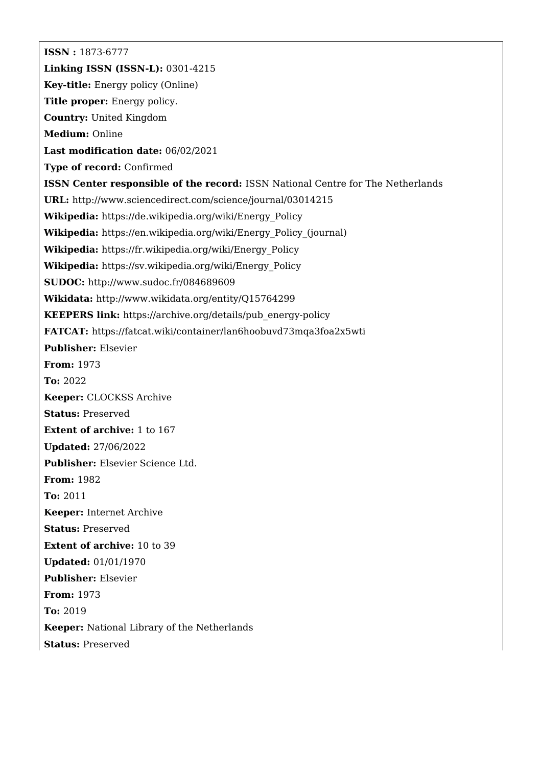**ISSN :** 1873-6777 **Linking ISSN (ISSN-L):** 0301-4215 **Key-title:** Energy policy (Online) **Title proper:** Energy policy. **Country:** United Kingdom **Medium:** Online **Last modification date:** 06/02/2021 **Type of record:** Confirmed **ISSN Center responsible of the record:** ISSN National Centre for The Netherlands **URL:** <http://www.sciencedirect.com/science/journal/03014215> **Wikipedia:** [https://de.wikipedia.org/wiki/Energy\\_Policy](https://de.wikipedia.org/wiki/Energy_Policy) **Wikipedia:** [https://en.wikipedia.org/wiki/Energy\\_Policy\\_\(journal\)](https://en.wikipedia.org/wiki/Energy_Policy_(journal)) **Wikipedia:** [https://fr.wikipedia.org/wiki/Energy\\_Policy](https://fr.wikipedia.org/wiki/Energy_Policy) **Wikipedia:** [https://sv.wikipedia.org/wiki/Energy\\_Policy](https://sv.wikipedia.org/wiki/Energy_Policy) **SUDOC:** <http://www.sudoc.fr/084689609> **Wikidata:** <http://www.wikidata.org/entity/Q15764299> **KEEPERS link:** [https://archive.org/details/pub\\_energy-policy](https://archive.org/details/pub_energy-policy) **FATCAT:** <https://fatcat.wiki/container/lan6hoobuvd73mqa3foa2x5wti> **Publisher:** Elsevier **From:** 1973 **To:** 2022 **Keeper:** CLOCKSS Archive **Status:** Preserved **Extent of archive:** 1 to 167 **Updated:** 27/06/2022 **Publisher:** Elsevier Science Ltd. **From:** 1982 **To:** 2011 **Keeper:** Internet Archive **Status:** Preserved **Extent of archive:** 10 to 39 **Updated:** 01/01/1970 **Publisher:** Elsevier **From:** 1973 **To:** 2019 **Keeper:** National Library of the Netherlands **Status:** Preserved